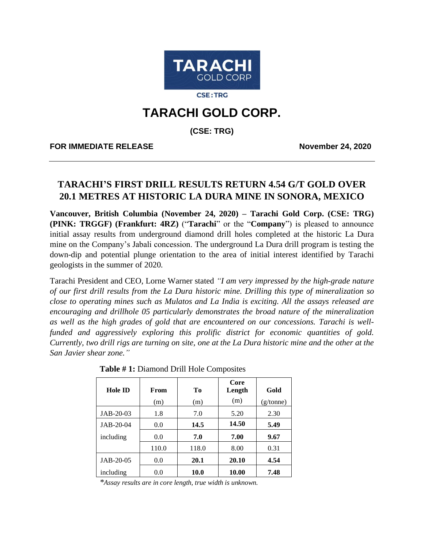

**CSE:TRG** 

# **TARACHI GOLD CORP.**

**(CSE: TRG)**

**FOR IMMEDIATE RELEASE November 24, 2020**

# **TARACHI'S FIRST DRILL RESULTS RETURN 4.54 G/T GOLD OVER 20.1 METRES AT HISTORIC LA DURA MINE IN SONORA, MEXICO**

**Vancouver, British Columbia (November 24, 2020) – Tarachi Gold Corp. (CSE: TRG) (PINK: TRGGF) (Frankfurt: 4RZ)** ("**Tarachi**" or the "**Company**") is pleased to announce initial assay results from underground diamond drill holes completed at the historic La Dura mine on the Company's Jabali concession. The underground La Dura drill program is testing the down-dip and potential plunge orientation to the area of initial interest identified by Tarachi geologists in the summer of 2020.

Tarachi President and CEO, Lorne Warner stated *"I am very impressed by the high-grade nature of our first drill results from the La Dura historic mine. Drilling this type of mineralization so close to operating mines such as Mulatos and La India is exciting. All the assays released are encouraging and drillhole 05 particularly demonstrates the broad nature of the mineralization as well as the high grades of gold that are encountered on our concessions. Tarachi is wellfunded and aggressively exploring this prolific district for economic quantities of gold. Currently, two drill rigs are turning on site, one at the La Dura historic mine and the other at the San Javier shear zone."*

| <b>Hole ID</b> | From<br>(m) | T <sub>0</sub><br>(m) | Core<br>Length<br>(m) | Gold<br>(g/tonne) |
|----------------|-------------|-----------------------|-----------------------|-------------------|
| JAB-20-03      | 1.8         | 7.0                   | 5.20                  | 2.30              |
| JAB-20-04      | 0.0         | 14.5                  | 14.50                 | 5.49              |
| including      | 0.0         | 7.0                   | 7.00                  | 9.67              |
|                | 110.0       | 118.0                 | 8.00                  | 0.31              |
| $JAB-20-05$    | 0.0         | 20.1                  | 20.10                 | 4.54              |
| including      | 0.0         | <b>10.0</b>           | 10.00                 | 7.48              |

**Table # 1:** Diamond Drill Hole Composites

*\*Assay results are in core length, true width is unknown.*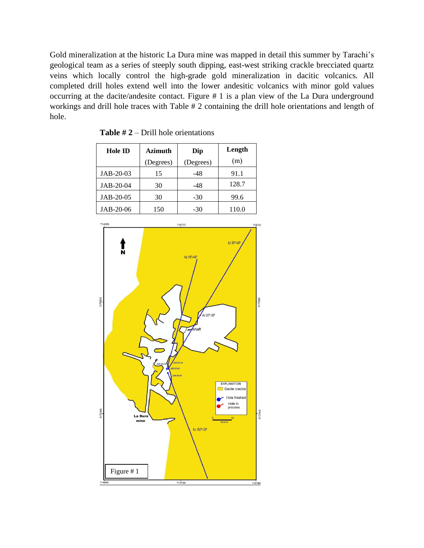Gold mineralization at the historic La Dura mine was mapped in detail this summer by Tarachi's geological team as a series of steeply south dipping, east-west striking crackle brecciated quartz veins which locally control the high-grade gold mineralization in dacitic volcanics. All completed drill holes extend well into the lower andesitic volcanics with minor gold values occurring at the dacite/andesite contact. Figure # 1 is a plan view of the La Dura underground workings and drill hole traces with Table # 2 containing the drill hole orientations and length of hole.

| <b>Hole ID</b> | <b>Azimuth</b> | Dip       | Length |
|----------------|----------------|-----------|--------|
|                | (Degrees)      | (Degrees) | (m)    |
| JAB-20-03      | 15             | -48       | 91.1   |
| JAB-20-04      | 30             | -48       | 128.7  |
| JAB-20-05      | 30             | $-30$     | 99.6   |
| JAB-20-06      | 150            | -30       | 110.0  |

**Table # 2** – Drill hole orientations

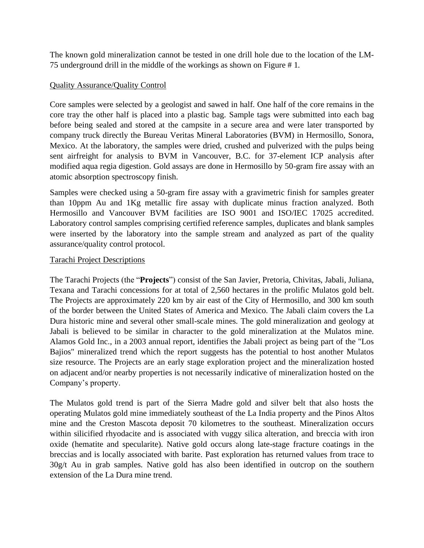The known gold mineralization cannot be tested in one drill hole due to the location of the LM-75 underground drill in the middle of the workings as shown on Figure # 1.

## Quality Assurance/Quality Control

Core samples were selected by a geologist and sawed in half. One half of the core remains in the core tray the other half is placed into a plastic bag. Sample tags were submitted into each bag before being sealed and stored at the campsite in a secure area and were later transported by company truck directly the Bureau Veritas Mineral Laboratories (BVM) in Hermosillo, Sonora, Mexico. At the laboratory, the samples were dried, crushed and pulverized with the pulps being sent airfreight for analysis to BVM in Vancouver, B.C. for 37-element ICP analysis after modified aqua regia digestion. Gold assays are done in Hermosillo by 50-gram fire assay with an atomic absorption spectroscopy finish.

Samples were checked using a 50-gram fire assay with a gravimetric finish for samples greater than 10ppm Au and 1Kg metallic fire assay with duplicate minus fraction analyzed. Both Hermosillo and Vancouver BVM facilities are ISO 9001 and ISO/IEC 17025 accredited. Laboratory control samples comprising certified reference samples, duplicates and blank samples were inserted by the laboratory into the sample stream and analyzed as part of the quality assurance/quality control protocol.

### Tarachi Project Descriptions

The Tarachi Projects (the "**Projects**") consist of the San Javier, Pretoria, Chivitas, Jabali, Juliana, Texana and Tarachi concessions for at total of 2,560 hectares in the prolific Mulatos gold belt. The Projects are approximately 220 km by air east of the City of Hermosillo, and 300 km south of the border between the United States of America and Mexico. The Jabali claim covers the La Dura historic mine and several other small-scale mines. The gold mineralization and geology at Jabali is believed to be similar in character to the gold mineralization at the Mulatos mine. Alamos Gold Inc., in a 2003 annual report, identifies the Jabali project as being part of the "Los Bajios" mineralized trend which the report suggests has the potential to host another Mulatos size resource. The Projects are an early stage exploration project and the mineralization hosted on adjacent and/or nearby properties is not necessarily indicative of mineralization hosted on the Company's property.

The Mulatos gold trend is part of the Sierra Madre gold and silver belt that also hosts the operating Mulatos gold mine immediately southeast of the La India property and the Pinos Altos mine and the Creston Mascota deposit 70 kilometres to the southeast. Mineralization occurs within silicified rhyodacite and is associated with vuggy silica alteration, and breccia with iron oxide (hematite and specularite). Native gold occurs along late-stage fracture coatings in the breccias and is locally associated with barite. Past exploration has returned values from trace to 30g/t Au in grab samples. Native gold has also been identified in outcrop on the southern extension of the La Dura mine trend.